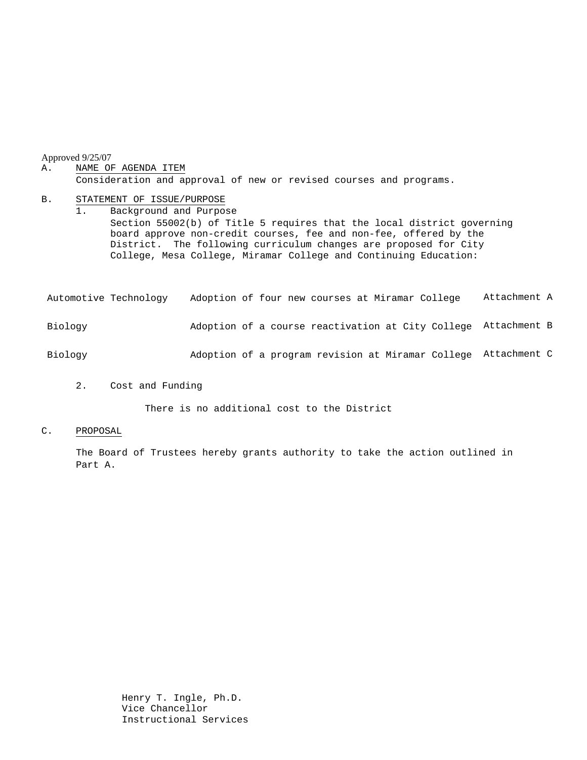#### Approved 9/25/07

#### A. NAME OF AGENDA ITEM Consideration and approval of new or revised courses and programs.

#### B. STATEMENT OF ISSUE/PURPOSE

1. Background and Purpose Section 55002(b) of Title 5 requires that the local district governing board approve non-credit courses, fee and non-fee, offered by the District. The following curriculum changes are proposed for City College, Mesa College, Miramar College and Continuing Education:

| Automotive Technology | Adoption of four new courses at Miramar College                | Attachment A |
|-----------------------|----------------------------------------------------------------|--------------|
| Biology               | Adoption of a course reactivation at City College Attachment B |              |
| Biology               | Adoption of a program revision at Miramar College Attachment C |              |

#### 2. Cost and Funding

There is no additional cost to the District

#### C. PROPOSAL

The Board of Trustees hereby grants authority to take the action outlined in Part A.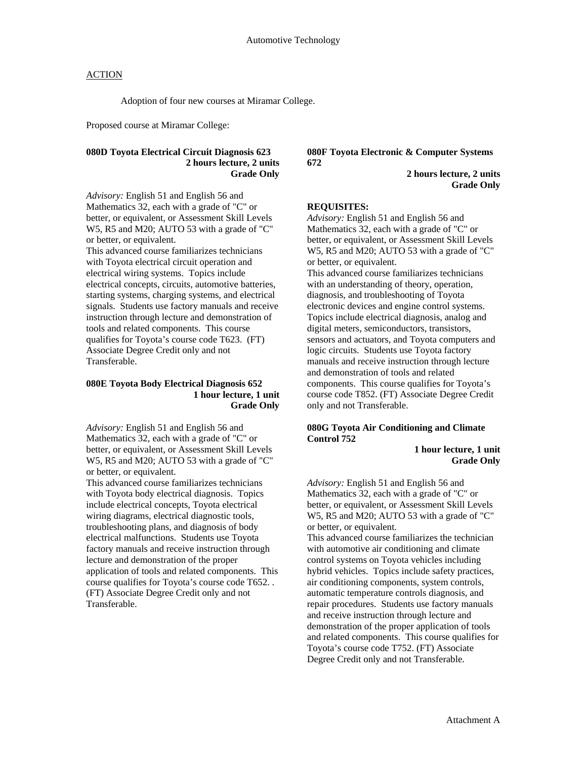## **ACTION**

Adoption of four new courses at Miramar College.

Proposed course at Miramar College:

## **080D Toyota Electrical Circuit Diagnosis 623 2 hours lecture, 2 units Grade Only**

*Advisory:* English 51 and English 56 and Mathematics 32, each with a grade of "C" or better, or equivalent, or Assessment Skill Levels W5, R5 and M20; AUTO 53 with a grade of "C" or better, or equivalent.

This advanced course familiarizes technicians with Toyota electrical circuit operation and electrical wiring systems. Topics include electrical concepts, circuits, automotive batteries, starting systems, charging systems, and electrical signals. Students use factory manuals and receive instruction through lecture and demonstration of tools and related components. This course qualifies for Toyota's course code T623. (FT) Associate Degree Credit only and not Transferable.

#### **080E Toyota Body Electrical Diagnosis 652 1 hour lecture, 1 unit Grade Only**

*Advisory:* English 51 and English 56 and Mathematics 32, each with a grade of "C" or better, or equivalent, or Assessment Skill Levels W5, R5 and M20; AUTO 53 with a grade of "C" or better, or equivalent.

This advanced course familiarizes technicians with Toyota body electrical diagnosis. Topics include electrical concepts, Toyota electrical wiring diagrams, electrical diagnostic tools, troubleshooting plans, and diagnosis of body electrical malfunctions. Students use Toyota factory manuals and receive instruction through lecture and demonstration of the proper application of tools and related components. This course qualifies for Toyota's course code T652. . (FT) Associate Degree Credit only and not Transferable.

**080F Toyota Electronic & Computer Systems 672** 

> **2 hours lecture, 2 units Grade Only**

#### **REQUISITES:**

*Advisory:* English 51 and English 56 and Mathematics 32, each with a grade of "C" or better, or equivalent, or Assessment Skill Levels W5, R5 and M20; AUTO 53 with a grade of "C" or better, or equivalent.

This advanced course familiarizes technicians with an understanding of theory, operation, diagnosis, and troubleshooting of Toyota electronic devices and engine control systems. Topics include electrical diagnosis, analog and digital meters, semiconductors, transistors, sensors and actuators, and Toyota computers and logic circuits. Students use Toyota factory manuals and receive instruction through lecture and demonstration of tools and related components. This course qualifies for Toyota's course code T852. (FT) Associate Degree Credit only and not Transferable.

# **080G Toyota Air Conditioning and Climate Control 752**

 **1 hour lecture, 1 unit Grade Only** 

*Advisory:* English 51 and English 56 and Mathematics 32, each with a grade of "C" or better, or equivalent, or Assessment Skill Levels W5, R5 and M20; AUTO 53 with a grade of "C" or better, or equivalent.

This advanced course familiarizes the technician with automotive air conditioning and climate control systems on Toyota vehicles including hybrid vehicles. Topics include safety practices, air conditioning components, system controls, automatic temperature controls diagnosis, and repair procedures. Students use factory manuals and receive instruction through lecture and demonstration of the proper application of tools and related components. This course qualifies for Toyota's course code T752. (FT) Associate Degree Credit only and not Transferable.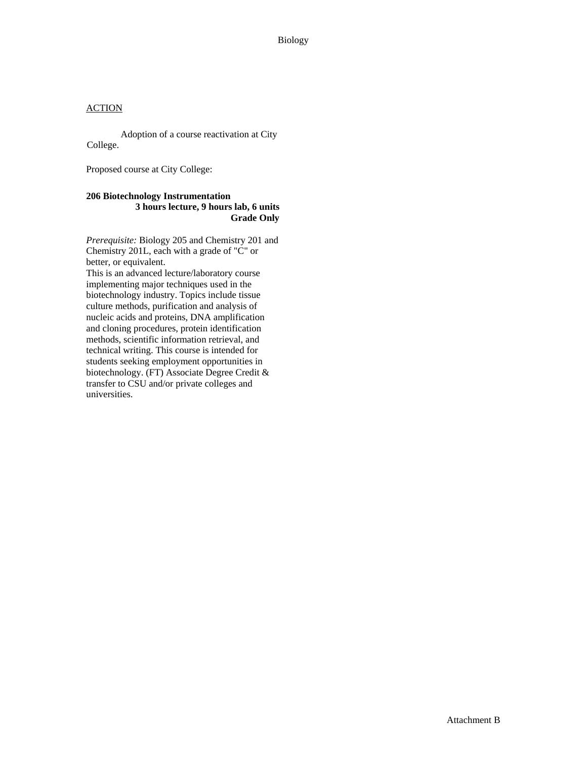# **ACTION**

Adoption of a course reactivation at City College.

Proposed course at City College:

#### **206 Biotechnology Instrumentation 3 hours lecture, 9 hours lab, 6 units Grade Only**

*Prerequisite:* Biology 205 and Chemistry 201 and Chemistry 201L, each with a grade of "C" or better, or equivalent.

This is an advanced lecture/laboratory course implementing major techniques used in the biotechnology industry. Topics include tissue culture methods, purification and analysis of nucleic acids and proteins, DNA amplification and cloning procedures, protein identification methods, scientific information retrieval, and technical writing. This course is intended for students seeking employment opportunities in biotechnology. (FT) Associate Degree Credit & transfer to CSU and/or private colleges and universities.